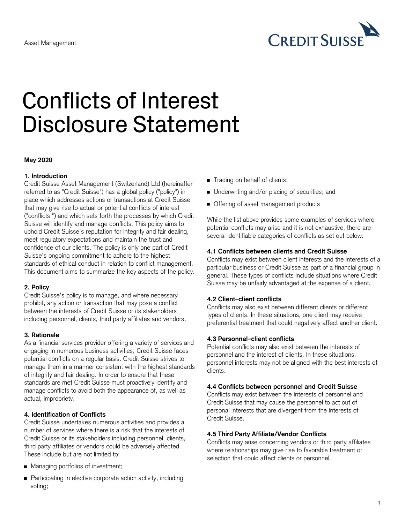

# Conflicts of Interest Disclosure Statement

#### **May 2020**

# **1. Introduction**

Credit Suisse Asset Management (Switzerland) Ltd (hereinafter referred to as "Credit Suisse") has a global policy ("policy") in place which addresses actions or transactions at Credit Suisse that may give rise to actual or potential conflicts of interest ("conflicts ") and which sets forth the processes by which Credit Suisse will identify and manage conflicts. This policy aims to uphold Credit Suisse's reputation for integrity and fair dealing, meet regulatory expectations and maintain the trust and confidence of our clients. The policy is only one part of Credit Suisse's ongoing commitment to adhere to the highest standards of ethical conduct in relation to conflict management. This document aims to summarize the key aspects of the policy.

#### **2. Policy**

Credit Suisse's policy is to manage, and where necessary prohibit, any action or transaction that may pose a conflict between the interests of Credit Suisse or its stakeholders including personnel, clients, third party affiliates and vendors.

# **3. Rationale**

As a financial services provider offering a variety of services and engaging in numerous business activities, Credit Suisse faces potential conflicts on a regular basis. Credit Suisse strives to manage them in a manner consistent with the highest standards of integrity and fair dealing. In order to ensure that these standards are met Credit Suisse must proactively identify and manage conflicts to avoid both the appearance of, as well as actual, impropriety.

# **4. Identification of Conflicts**

Credit Suisse undertakes numerous activities and provides a number of services where there is a risk that the interests of Credit Suisse or its stakeholders including personnel, clients, third party affiliates or vendors could be adversely affected. These include but are not limited to:

- Managing portfolios of investment;
- Participating in elective corporate action activity, including voting;
- Trading on behalf of clients;
- Underwriting and/or placing of securities; and
- **Offering of asset management products**

While the list above provides some examples of services where potential conflicts may arise and it is not exhaustive, there are several identifiable categories of conflicts as set out below.

## **4.1 Conflicts between clients and Credit Suisse**

Conflicts may exist between client interests and the interests of a particular business or Credit Suisse as part of a financial group in general. These types of conflicts include situations where Credit Suisse may be unfairly advantaged at the expense of a client.

# **4.2 Client–client conflicts**

Conflicts may also exist between different clients or different types of clients. In these situations, one client may receive preferential treatment that could negatively affect another client.

# **4.3 Personnel–client conflicts**

Potential conflicts may also exist between the interests of personnel and the interest of clients. In these situations, personnel interests may not be aligned with the best interests of clients.

#### **4.4 Conflicts between personnel and Credit Suisse**

Conflicts may exist between the interests of personnel and Credit Suisse that may cause the personnel to act out of personal interests that are divergent from the interests of Credit Suisse.

#### **4.5 Third Party Affiliate/Vendor Conflicts**

Conflicts may arise concerning vendors or third party affiliates where relationships may give rise to favorable treatment or selection that could affect clients or personnel.